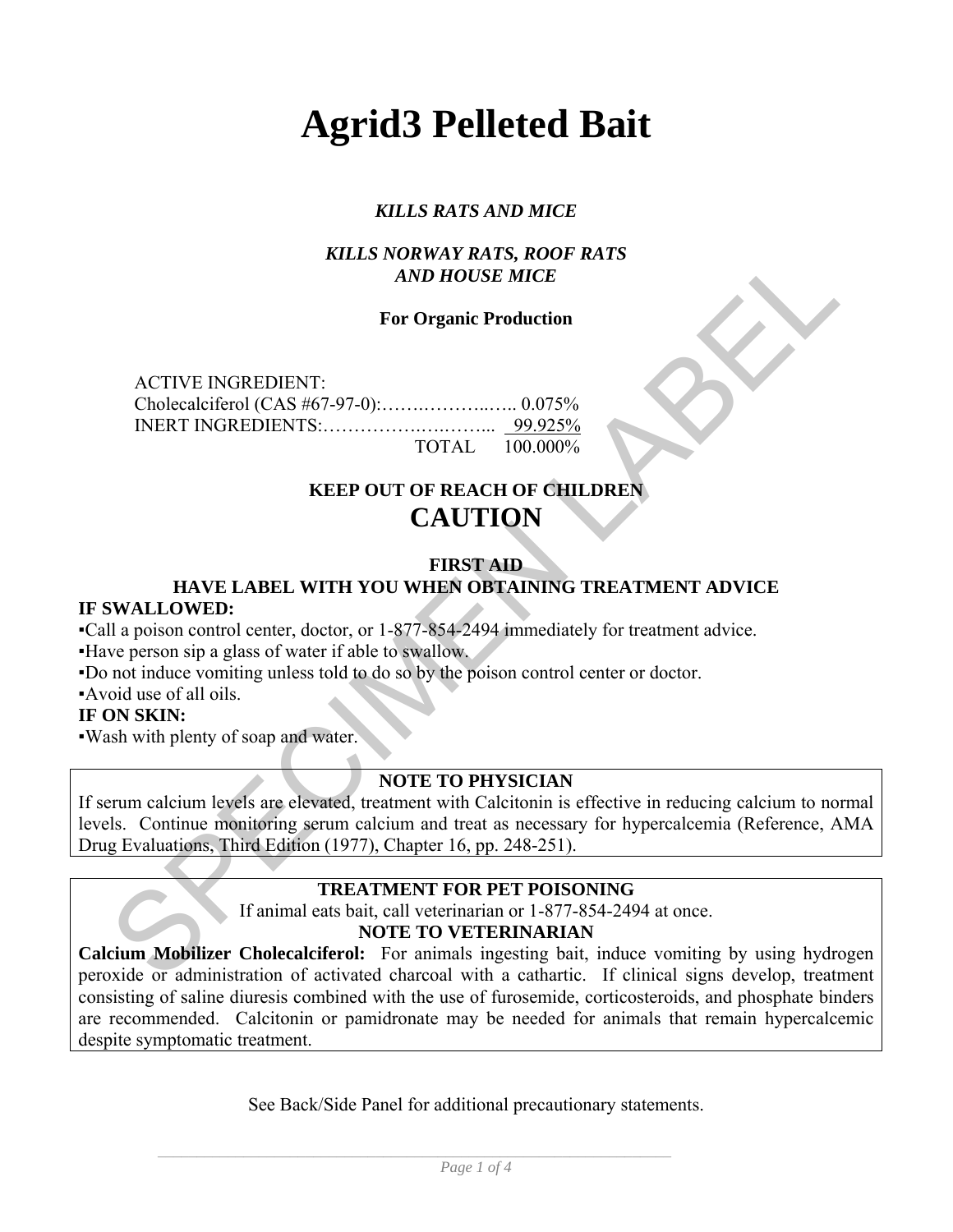# **Agrid3 Pelleted Bait**

### *KILLS RATS AND MICE*

#### *KILLS NORWAY RATS, ROOF RATS AND HOUSE MICE*

#### **For Organic Production**

ACTIVE INGREDIENT: Cholecalciferol (CAS #67-97-0):…….………..….. 0.075% INERT INGREDIENTS:…………….….……... 99.925% TOTAL 100.000%

## **KEEP OUT OF REACH OF CHILDREN CAUTION**

#### **FIRST AID**

#### **HAVE LABEL WITH YOU WHEN OBTAINING TREATMENT ADVICE IF SWALLOWED:**

▪Call a poison control center, doctor, or 1-877-854-2494 immediately for treatment advice.

▪Have person sip a glass of water if able to swallow.

▪Do not induce vomiting unless told to do so by the poison control center or doctor.

▪Avoid use of all oils.

#### **IF ON SKIN:**

▪Wash with plenty of soap and water.

#### **NOTE TO PHYSICIAN**

**EXECUTE:**<br> **EXECUTE:**<br> **EXECUTE:**<br> **EXECUTE:**<br> **EXECUTE:**<br> **EXECUTE:**<br> **EXECUTE:**<br> **EXECUTE:**<br> **EXECUTE:**<br> **EXECUTE:**<br> **EXECUTE:**<br> **EXECUTE:**<br> **EXECUTE:**<br> **EXECUTE:**<br> **EXECUTE:**<br> **EXECUTE:**<br> **EXECUTE:**<br> **EXECUTE:**<br> **EXEC** If serum calcium levels are elevated, treatment with Calcitonin is effective in reducing calcium to normal levels. Continue monitoring serum calcium and treat as necessary for hypercalcemia (Reference, AMA Drug Evaluations, Third Edition (1977), Chapter 16, pp. 248-251).

#### **TREATMENT FOR PET POISONING**

If animal eats bait, call veterinarian or 1-877-854-2494 at once.

#### **NOTE TO VETERINARIAN**

**Calcium Mobilizer Cholecalciferol:** For animals ingesting bait, induce vomiting by using hydrogen peroxide or administration of activated charcoal with a cathartic. If clinical signs develop, treatment consisting of saline diuresis combined with the use of furosemide, corticosteroids, and phosphate binders are recommended. Calcitonin or pamidronate may be needed for animals that remain hypercalcemic despite symptomatic treatment.

See Back/Side Panel for additional precautionary statements.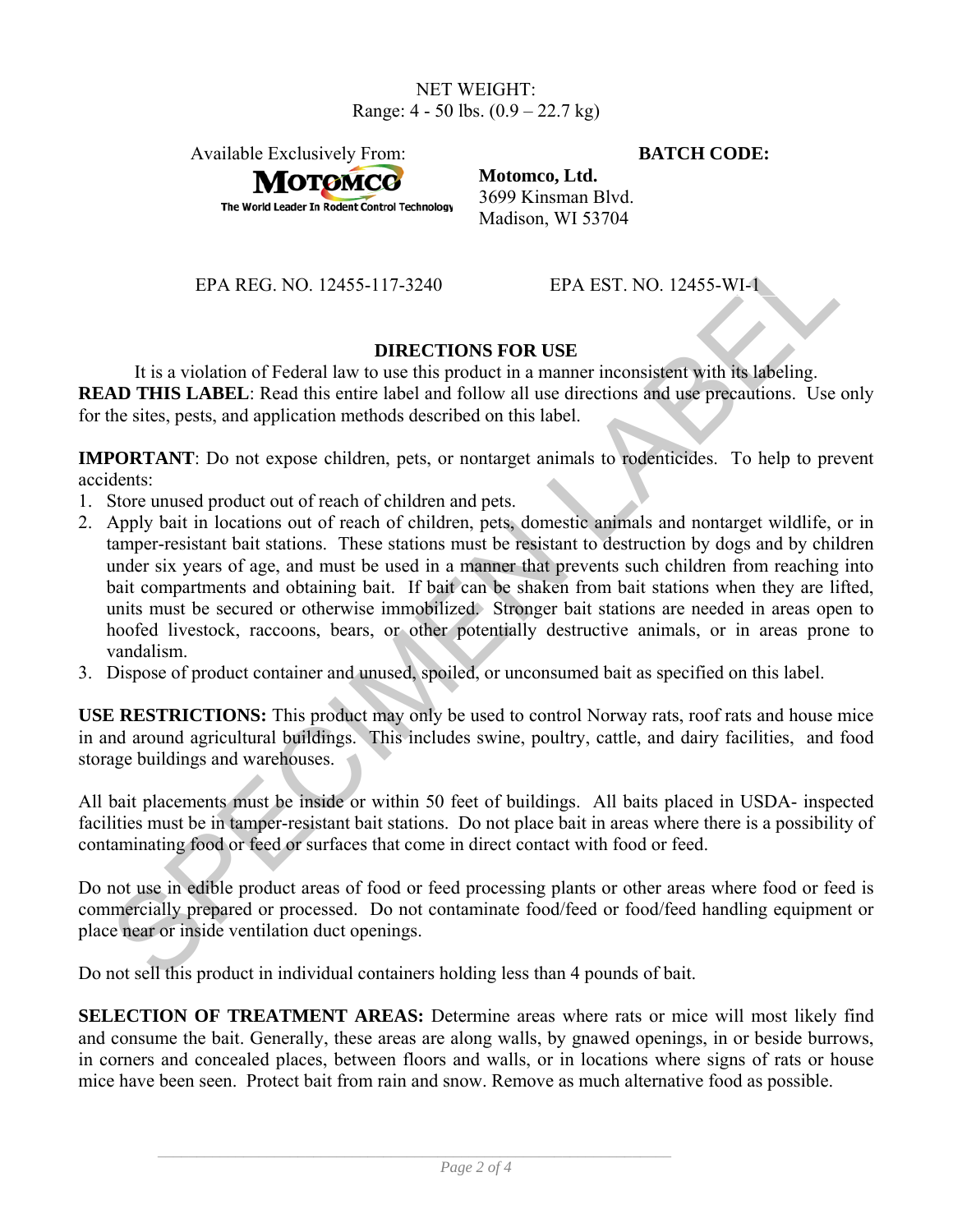#### NET WEIGHT: Range: 4 - 50 lbs. (0.9 – 22.7 kg)

Available Exclusively From: **BATCH CODE:**

**Мотомсс** 

The World Leader In Rodent Control Technology

**Motomco, Ltd.**  3699 Kinsman Blvd. Madison, WI 53704

EPA REG. NO. 12455-117-3240 EPA EST. NO. 12455-WI-1

#### **DIRECTIONS FOR USE**

It is a violation of Federal law to use this product in a manner inconsistent with its labeling. **READ THIS LABEL:** Read this entire label and follow all use directions and use precautions. Use only for the sites, pests, and application methods described on this label.

**IMPORTANT**: Do not expose children, pets, or nontarget animals to rodenticides. To help to prevent accidents:

- 1. Store unused product out of reach of children and pets.
- EPA REG. NO. 12455-117-3240<br>
EPA EST. NO. 12455-WI-<br>
IERA EST. NO. 12455-WI-<br>
IERA EST. NO. 12455-WI-<br>
IERA EST. TRIS LABEL: Read this entire tabel in product in a manner inconsistent with its labeling.<br>
AD THIS LABEL: Rea 2. Apply bait in locations out of reach of children, pets, domestic animals and nontarget wildlife, or in tamper-resistant bait stations. These stations must be resistant to destruction by dogs and by children under six years of age, and must be used in a manner that prevents such children from reaching into bait compartments and obtaining bait. If bait can be shaken from bait stations when they are lifted, units must be secured or otherwise immobilized. Stronger bait stations are needed in areas open to hoofed livestock, raccoons, bears, or other potentially destructive animals, or in areas prone to vandalism.
- 3. Dispose of product container and unused, spoiled, or unconsumed bait as specified on this label.

**USE RESTRICTIONS:** This product may only be used to control Norway rats, roof rats and house mice in and around agricultural buildings. This includes swine, poultry, cattle, and dairy facilities, and food storage buildings and warehouses.

All bait placements must be inside or within 50 feet of buildings. All baits placed in USDA- inspected facilities must be in tamper-resistant bait stations. Do not place bait in areas where there is a possibility of contaminating food or feed or surfaces that come in direct contact with food or feed.

Do not use in edible product areas of food or feed processing plants or other areas where food or feed is commercially prepared or processed. Do not contaminate food/feed or food/feed handling equipment or place near or inside ventilation duct openings.

Do not sell this product in individual containers holding less than 4 pounds of bait.

**SELECTION OF TREATMENT AREAS:** Determine areas where rats or mice will most likely find and consume the bait. Generally, these areas are along walls, by gnawed openings, in or beside burrows, in corners and concealed places, between floors and walls, or in locations where signs of rats or house mice have been seen. Protect bait from rain and snow. Remove as much alternative food as possible.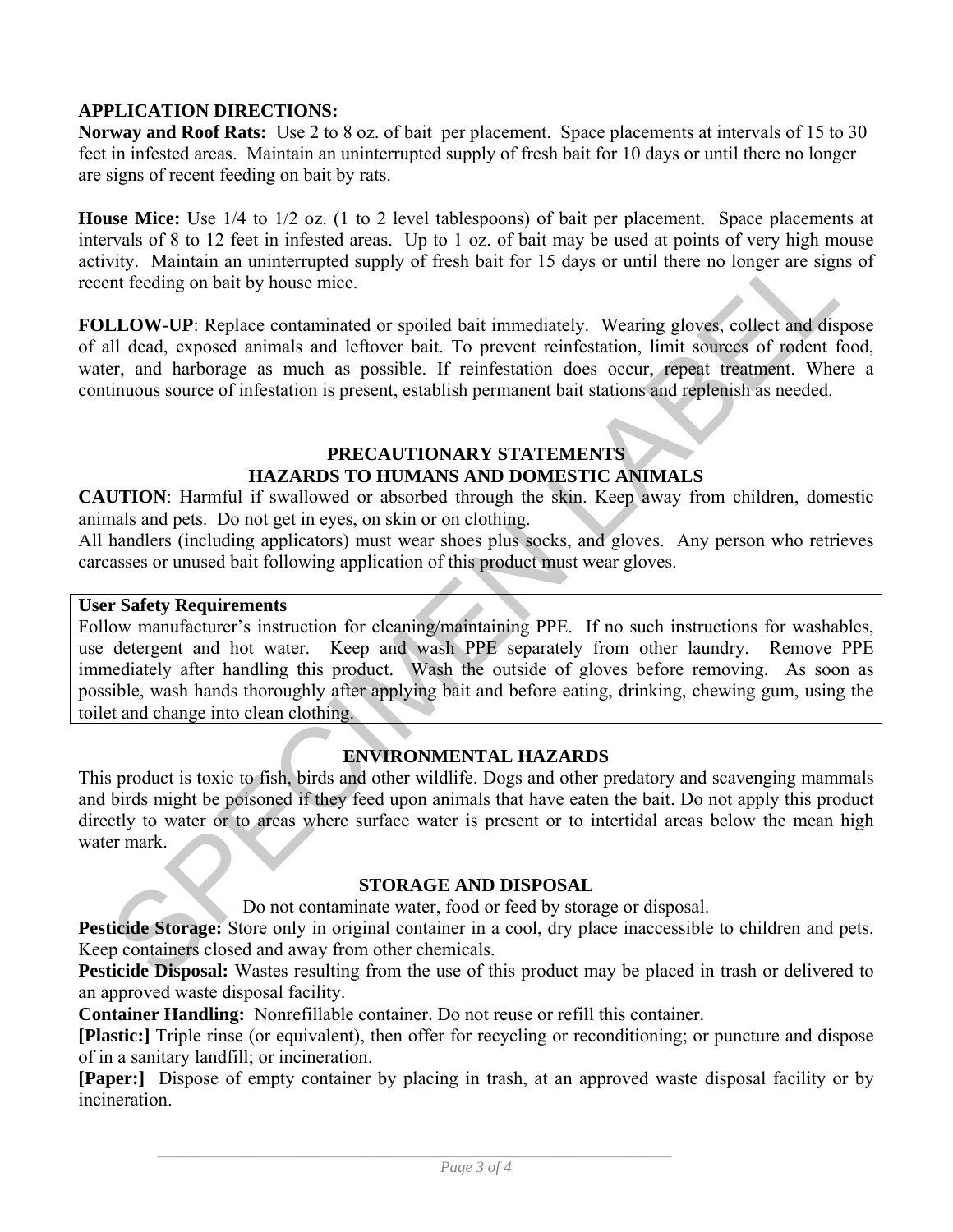#### **APPLICATION DIRECTIONS:**

**Norway and Roof Rats:** Use 2 to 8 oz. of bait per placement. Space placements at intervals of 15 to 30 feet in infested areas. Maintain an uninterrupted supply of fresh bait for 10 days or until there no longer are signs of recent feeding on bait by rats.

**House Mice:** Use 1/4 to 1/2 oz. (1 to 2 level tablespoons) of bait per placement. Space placements at intervals of 8 to 12 feet in infested areas. Up to 1 oz. of bait may be used at points of very high mouse activity. Maintain an uninterrupted supply of fresh bait for 15 days or until there no longer are signs of recent feeding on bait by house mice.

**FOLLOW-UP**: Replace contaminated or spoiled bait immediately. Wearing gloves, collect and dispose of all dead, exposed animals and leftover bait. To prevent reinfestation, limit sources of rodent food, water, and harborage as much as possible. If reinfestation does occur, repeat treatment. Where a continuous source of infestation is present, establish permanent bait stations and replenish as needed.

#### **PRECAUTIONARY STATEMENTS HAZARDS TO HUMANS AND DOMESTIC ANIMALS**

**CAUTION**: Harmful if swallowed or absorbed through the skin. Keep away from children, domestic animals and pets. Do not get in eyes, on skin or on clothing.

All handlers (including applicators) must wear shoes plus socks, and gloves. Any person who retrieves carcasses or unused bait following application of this product must wear gloves.

#### **User Safety Requirements**

ority. Maintain an uninterrupted supply of fresh bait for 15 days or until there no longer are signs of the Media on bait by house mite<br>
and Redung on bait by house mite<br>
ILLOW-UP: Replace contaminated or spoiled bait imme Follow manufacturer's instruction for cleaning/maintaining PPE. If no such instructions for washables, use detergent and hot water. Keep and wash PPE separately from other laundry. Remove PPE immediately after handling this product. Wash the outside of gloves before removing. As soon as possible, wash hands thoroughly after applying bait and before eating, drinking, chewing gum, using the toilet and change into clean clothing.

#### **ENVIRONMENTAL HAZARDS**

This product is toxic to fish, birds and other wildlife. Dogs and other predatory and scavenging mammals and birds might be poisoned if they feed upon animals that have eaten the bait. Do not apply this product directly to water or to areas where surface water is present or to intertidal areas below the mean high water mark.

#### **STORAGE AND DISPOSAL**

Do not contaminate water, food or feed by storage or disposal.

**Pesticide Storage:** Store only in original container in a cool, dry place inaccessible to children and pets. Keep containers closed and away from other chemicals.

**Pesticide Disposal:** Wastes resulting from the use of this product may be placed in trash or delivered to an approved waste disposal facility.

**Container Handling:** Nonrefillable container. Do not reuse or refill this container.

**[Plastic:]** Triple rinse (or equivalent), then offer for recycling or reconditioning; or puncture and dispose of in a sanitary landfill; or incineration.

**[Paper:]** Dispose of empty container by placing in trash, at an approved waste disposal facility or by incineration.